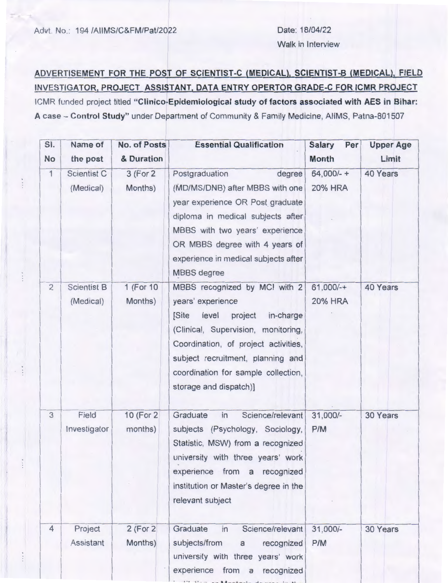Advt. No.: 194 /AllMS/C&FM/Pat/2022 Date: 18/04/22

## **ADVERTISEMENT FOR THE POST OF SCIENTIST-C (MEDICAL), SCIENTIST-B (MEDICAL), FIELD INVESTIGATOR, PROJECT ASSISTANT, DATA ENTRY OPERTOR GRADE-C FOR ICMR PROJECT**

ICMR funded project titled **"Clinico-Epidemiological study of factors associated with AES in Bihar: A** case - **Control Study"** under Department of Community & Family Medicine, AllMS, Patna-801507

| SI.<br><b>No</b> | Name of<br>the post             | No. of Posts<br>& Duration | <b>Essential Qualification</b>                                                                                                                                                                                                                                                     | <b>Salary</b><br>Per<br><b>Month</b> | <b>Upper Age</b><br>Limit |
|------------------|---------------------------------|----------------------------|------------------------------------------------------------------------------------------------------------------------------------------------------------------------------------------------------------------------------------------------------------------------------------|--------------------------------------|---------------------------|
| $\mathbf{1}$     | Scientist C<br>(Medical)        | 3 (For 2)<br>Months)       | Postgraduation<br>degree<br>(MD/MS/DNB) after MBBS with one<br>year experience OR Post graduate<br>diploma in medical subjects after<br>MBBS with two years' experience<br>OR MBBS degree with 4 years of<br>experience in medical subjects after<br><b>MBBS</b> degree            | $64,000/- +$<br><b>20% HRA</b>       | 40 Years                  |
| $\overline{2}$   | <b>Scientist B</b><br>(Medical) | 1 (For 10)<br>Months)      | MBBS recognized by MCI with 2<br>years' experience<br>[Site]<br>level<br>project<br>in-charge<br>(Clinical, Supervision, monitoring,<br>Coordination, of project activities,<br>subject recruitment, planning and<br>coordination for sample collection,<br>storage and dispatch)] | $61,000/-+$<br><b>20% HRA</b>        | 40 Years                  |
| 3                | Field<br>Investigator           | 10 (For 2)<br>months)      | Science/relevant<br>Graduate<br>in<br>subjects (Psychology, Sociology,<br>Statistic, MSW) from a recognized<br>university with three years' work<br>experience from a<br>recognized<br>institution or Master's degree in the<br>relevant subject                                   | 31,000/-<br>P/M                      | 30 Years                  |
| 4                | Project<br><b>Assistant</b>     | $2$ (For $2$<br>Months)    | Graduate<br>Science/relevant<br>in<br>subjects/from<br>recognized<br>$\mathsf{a}$<br>university with three years' work<br>experience from a recognized                                                                                                                             | 31,000/-<br>P/M                      | 30 Years                  |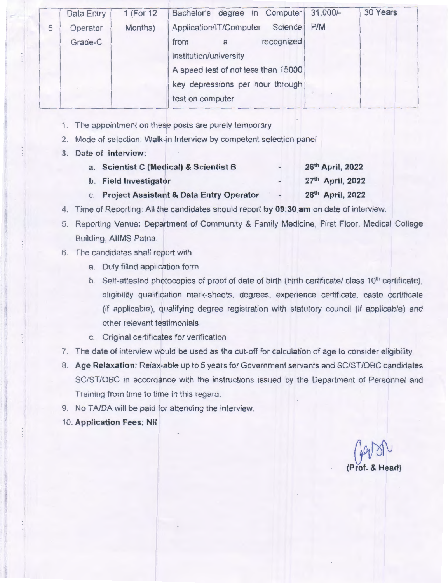|   | Data Entry | 1 (For 12) | Bachelor's degree in Computer       | $31,000/-$ | 30 Years |
|---|------------|------------|-------------------------------------|------------|----------|
| 5 | Operator   | Months)    | Science<br>Application/IT/Computer  | P/M        |          |
|   | Grade-C    |            | recognized<br>from<br>a             |            |          |
|   |            |            | institution/university              |            |          |
|   |            |            | A speed test of not less than 15000 |            |          |
|   |            |            | key depressions per hour through    |            |          |
|   |            |            | test on computer                    |            |          |

- 1. The appointment on these posts are purely temporary
- 2. Mode of selection: Walk-in Interview by competent selection panel
- **3. Date of interview:**

| a. Scientist C (Medical) & Scientist B     | - | 26th April, 2022 |
|--------------------------------------------|---|------------------|
| b. Field Investigator                      |   | 27th April, 2022 |
| c. Project Assistant & Data Entry Operator |   | 28th April, 2022 |

- 4. Time of Reporting : All the candidates should report **by 09:30.am** on date of interview.
- 5. Reporting Venue: Department of Community & Family Medicine, First Floor, Medical College Building, AllMS Patna.
- 6. The candidates shall report with
	- a. Duly filled application form
	- b. Self-attested photocopies of proof of date of birth (birth certificate/ class 10<sup>th</sup> certificate), eligibility qualification mark-sheets, degrees, experience certificate , caste certificate (if applicable), qualifying degree registration with statutory council (if applicable) and other relevant testimonials .
	- c. Original certificates for verification
- 7. The date of interview would be used as the cut-off for calculation of age to consider eligibility.
- 8. **Age Relaxation:** Relax-able up to 5 years for Government servants and SC/ST/OBC candidates SC/ST/OBC in accordance with the instructions issued by the Department of Personnel and Training from time to time in this regard.
- 9. No TA/DA will be paid for attending the interview.
- 10. **Application Fees: Nil**

**(Prof.** ~ **& Head)**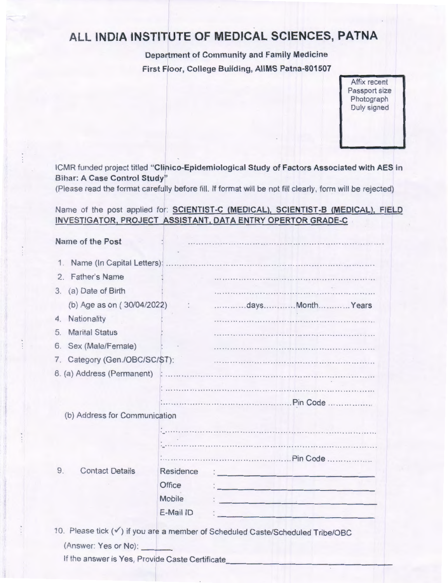## **ALL INDIA INSTITUTE OF MEDICAL SCIENCES, PATNA**

Department of Community and Family Medicine First Floor, College Building, AllMS Patna-801507

> Affix recent Passport size Photograph Duly signed

ICMR funded project titled "Clinico-Epidemiological Study of Factors Associated with AES in Bihar: A Case Control Study"

(Please read the format carefully before fill. If format will be not fill clearly, form will be rejected)

Name of the post applied for: SCIENTIST-C (MEDICAL), SCIENTIST-B (MEDICAL), FIELD INVESTIGATOR, PROJECT ASSISTANT, DATA ENTRY OPERTOR GRADE-C

| Name of the Post                                |                             |                                                                                |
|-------------------------------------------------|-----------------------------|--------------------------------------------------------------------------------|
| Name (In Capital Letters):<br>1.                |                             |                                                                                |
| <b>Father's Name</b><br>2                       |                             |                                                                                |
| (a) Date of Birth<br>3.                         |                             |                                                                                |
| (b) Age as on (30/04/2022)                      | $\mathcal{L}_{\mathcal{L}}$ | daysMonthYears                                                                 |
| Nationality<br>4.                               |                             |                                                                                |
| <b>Marital Status</b><br>5.                     |                             |                                                                                |
| Sex (Male/Female)<br>6.                         |                             |                                                                                |
| 7. Category (Gen./OBC/SC/ST):                   |                             |                                                                                |
| 8. (a) Address (Permanent)                      |                             |                                                                                |
|                                                 |                             |                                                                                |
|                                                 |                             |                                                                                |
| (b) Address for Communication                   |                             |                                                                                |
|                                                 |                             |                                                                                |
|                                                 |                             |                                                                                |
|                                                 |                             |                                                                                |
| <b>Contact Details</b><br>9.                    | Residence                   | <u> 1987 - Alder Harrison, amerikan bisa</u>                                   |
|                                                 | <b>Office</b>               |                                                                                |
|                                                 | <b>Mobile</b>               | the control of the control of the control of the                               |
|                                                 | E-Mail ID                   |                                                                                |
|                                                 |                             | 10. Please tick (v) if you are a member of Scheduled Caste/Scheduled Tribe/OBC |
| (Answer: Yes or No):                            |                             |                                                                                |
| If the answer is Yes, Provide Caste Certificate |                             |                                                                                |